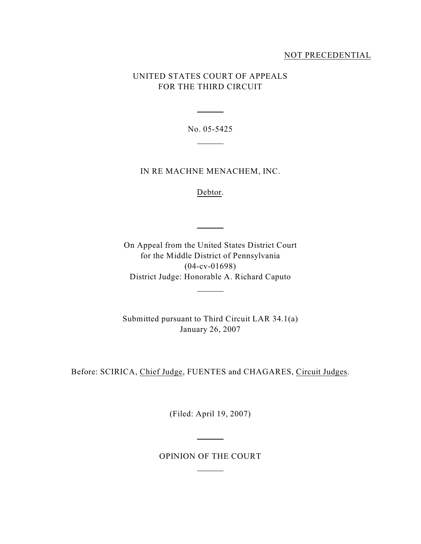## NOT PRECEDENTIAL

# UNITED STATES COURT OF APPEALS FOR THE THIRD CIRCUIT

No. 05-5425

 $\overline{a}$ 

 $\overline{\phantom{a}}$ 

### IN RE MACHNE MENACHEM, INC.

Debtor.

 $\overline{\phantom{a}}$ 

On Appeal from the United States District Court for the Middle District of Pennsylvania (04-cv-01698) District Judge: Honorable A. Richard Caputo

 $\overline{a}$ 

Submitted pursuant to Third Circuit LAR 34.1(a) January 26, 2007

Before: SCIRICA, Chief Judge, FUENTES and CHAGARES, Circuit Judges.

(Filed: April 19, 2007)

OPINION OF THE COURT

 $\overline{a}$ 

 $\overline{a}$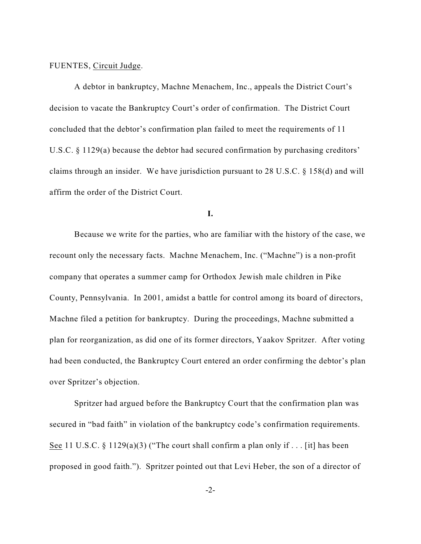### FUENTES, Circuit Judge.

A debtor in bankruptcy, Machne Menachem, Inc., appeals the District Court's decision to vacate the Bankruptcy Court's order of confirmation. The District Court concluded that the debtor's confirmation plan failed to meet the requirements of 11 U.S.C. § 1129(a) because the debtor had secured confirmation by purchasing creditors' claims through an insider. We have jurisdiction pursuant to 28 U.S.C. § 158(d) and will affirm the order of the District Court.

**I.**

Because we write for the parties, who are familiar with the history of the case, we recount only the necessary facts. Machne Menachem, Inc. ("Machne") is a non-profit company that operates a summer camp for Orthodox Jewish male children in Pike County, Pennsylvania. In 2001, amidst a battle for control among its board of directors, Machne filed a petition for bankruptcy. During the proceedings, Machne submitted a plan for reorganization, as did one of its former directors, Yaakov Spritzer. After voting had been conducted, the Bankruptcy Court entered an order confirming the debtor's plan over Spritzer's objection.

Spritzer had argued before the Bankruptcy Court that the confirmation plan was secured in "bad faith" in violation of the bankruptcy code's confirmation requirements. See 11 U.S.C.  $\S$  1129(a)(3) ("The court shall confirm a plan only if . . . [it] has been proposed in good faith."). Spritzer pointed out that Levi Heber, the son of a director of

-2-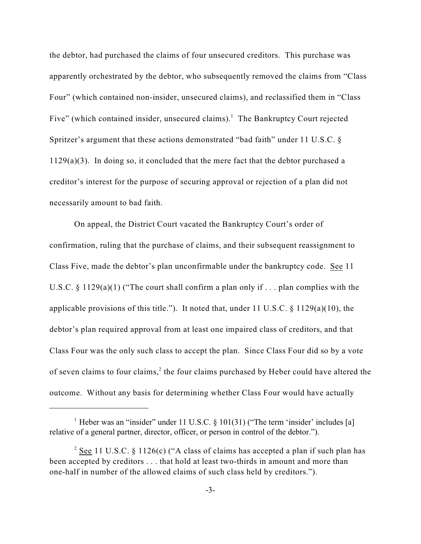the debtor, had purchased the claims of four unsecured creditors. This purchase was apparently orchestrated by the debtor, who subsequently removed the claims from "Class Four" (which contained non-insider, unsecured claims), and reclassified them in "Class Five" (which contained insider, unsecured claims).<sup>1</sup> The Bankruptcy Court rejected Spritzer's argument that these actions demonstrated "bad faith" under 11 U.S.C. § 1129(a)(3). In doing so, it concluded that the mere fact that the debtor purchased a creditor's interest for the purpose of securing approval or rejection of a plan did not necessarily amount to bad faith.

On appeal, the District Court vacated the Bankruptcy Court's order of confirmation, ruling that the purchase of claims, and their subsequent reassignment to Class Five, made the debtor's plan unconfirmable under the bankruptcy code. See 11 U.S.C.  $\S$  1129(a)(1) ("The court shall confirm a plan only if ... plan complies with the applicable provisions of this title."). It noted that, under 11 U.S.C.  $\S$  1129(a)(10), the debtor's plan required approval from at least one impaired class of creditors, and that Class Four was the only such class to accept the plan. Since Class Four did so by a vote of seven claims to four claims,<sup>2</sup> the four claims purchased by Heber could have altered the outcome. Without any basis for determining whether Class Four would have actually

<sup>&</sup>lt;sup>1</sup> Heber was an "insider" under 11 U.S.C.  $\S$  101(31) ("The term 'insider' includes [a] relative of a general partner, director, officer, or person in control of the debtor.").

<sup>&</sup>lt;sup>2</sup> See 11 U.S.C. § 1126(c) ("A class of claims has accepted a plan if such plan has been accepted by creditors . . . that hold at least two-thirds in amount and more than one-half in number of the allowed claims of such class held by creditors.").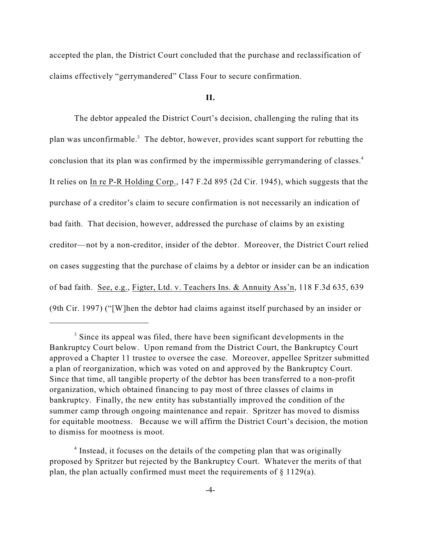accepted the plan, the District Court concluded that the purchase and reclassification of claims effectively "gerrymandered" Class Four to secure confirmation.

#### **II.**

The debtor appealed the District Court's decision, challenging the ruling that its plan was unconfirmable.<sup>3</sup> The debtor, however, provides scant support for rebutting the conclusion that its plan was confirmed by the impermissible gerrymandering of classes.<sup>4</sup> It relies on In re P-R Holding Corp., 147 F.2d 895 (2d Cir. 1945), which suggests that the purchase of a creditor's claim to secure confirmation is not necessarily an indication of bad faith. That decision, however, addressed the purchase of claims by an existing creditor—not by a non-creditor, insider of the debtor. Moreover, the District Court relied on cases suggesting that the purchase of claims by a debtor or insider can be an indication of bad faith. See, e.g., Figter, Ltd. v. Teachers Ins. & Annuity Ass'n, 118 F.3d 635, 639 (9th Cir. 1997) ("[W]hen the debtor had claims against itself purchased by an insider or

 $3$  Since its appeal was filed, there have been significant developments in the Bankruptcy Court below. Upon remand from the District Court, the Bankruptcy Court approved a Chapter 11 trustee to oversee the case. Moreover, appellee Spritzer submitted a plan of reorganization, which was voted on and approved by the Bankruptcy Court. Since that time, all tangible property of the debtor has been transferred to a non-profit organization, which obtained financing to pay most of three classes of claims in bankruptcy. Finally, the new entity has substantially improved the condition of the summer camp through ongoing maintenance and repair. Spritzer has moved to dismiss for equitable mootness. Because we will affirm the District Court's decision, the motion to dismiss for mootness is moot.

 $\frac{4}{1}$  Instead, it focuses on the details of the competing plan that was originally proposed by Spritzer but rejected by the Bankruptcy Court. Whatever the merits of that plan, the plan actually confirmed must meet the requirements of  $\S$  1129(a).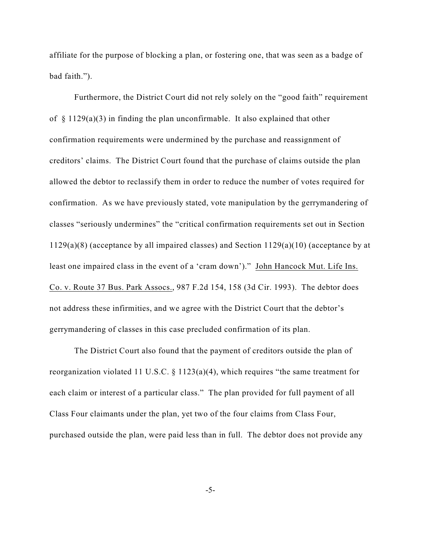affiliate for the purpose of blocking a plan, or fostering one, that was seen as a badge of bad faith.").

Furthermore, the District Court did not rely solely on the "good faith" requirement of  $\S$  1129(a)(3) in finding the plan unconfirmable. It also explained that other confirmation requirements were undermined by the purchase and reassignment of creditors' claims. The District Court found that the purchase of claims outside the plan allowed the debtor to reclassify them in order to reduce the number of votes required for confirmation. As we have previously stated, vote manipulation by the gerrymandering of classes "seriously undermines" the "critical confirmation requirements set out in Section 1129(a)(8) (acceptance by all impaired classes) and Section 1129(a)(10) (acceptance by at least one impaired class in the event of a 'cram down')." John Hancock Mut. Life Ins. Co. v. Route 37 Bus. Park Assocs., 987 F.2d 154, 158 (3d Cir. 1993). The debtor does not address these infirmities, and we agree with the District Court that the debtor's gerrymandering of classes in this case precluded confirmation of its plan.

The District Court also found that the payment of creditors outside the plan of reorganization violated 11 U.S.C. § 1123(a)(4), which requires "the same treatment for each claim or interest of a particular class." The plan provided for full payment of all Class Four claimants under the plan, yet two of the four claims from Class Four, purchased outside the plan, were paid less than in full. The debtor does not provide any

-5-